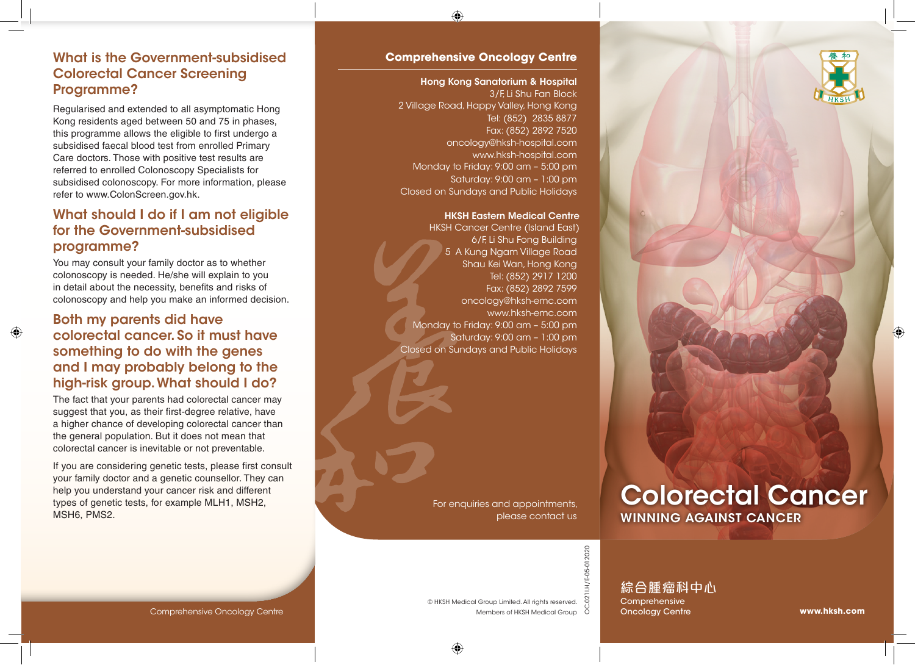

#### What is the Government-subsidised Colorectal Cancer Screening Programme?

Regularised and extended to all asymptomatic Hong Kong residents aged between 50 and 75 in phases, this programme allows the eligible to first undergo a subsidised faecal blood test from enrolled Primary Care doctors. Those with positive test results are referred to enrolled Colonoscopy Specialists for subsidised colonoscopy. For more information, please refer to www.ColonScreen.gov.hk.

#### What should I do if I am not eligible for the Government-subsidised programme?

You may consult your family doctor as to whether colonoscopy is needed. He/she will explain to you in detail about the necessity, benefits and risks of colonoscopy and help you make an informed decision.

#### Both my parents did have colorectal cancer. So it must have something to do with the genes and I may probably belong to the high-risk group. What should I do?

The fact that your parents had colorectal cancer may suggest that you, as their first-degree relative, have a higher chance of developing colorectal cancer than the general population. But it does not mean that colorectal cancer is inevitable or not preventable.

If you are considering genetic tests, please first consult your family doctor and a genetic counsellor. They can help you understand your cancer risk and different types of genetic tests, for example MLH1, MSH2, MSH6, PMS2.

#### **Comprehensive Oncology Centre**

#### Hong Kong Sanatorium & Hospital

3/F, Li Shu Fan Block 2 Village Road, Happy Valley, Hong Kong Tel: (852) 2835 8877 Fax: (852) 2892 7520 oncology@hksh-hospital.com www.hksh-hospital.com Monday to Friday: 9:00 am – 5:00 pm Saturday: 9:00 am – 1:00 pm Closed on Sundays and Public Holidays

#### HKSH Eastern Medical Centre

HKSH Cancer Centre (Island East) 6/F, Li Shu Fong Building 5 A Kung Ngam Village Road Shau Kei Wan, Hong Kong Tel: (852) 2917 1200 Fax: (852) 2892 7599 oncology@hksh-emc.com www.hksh-emc.com Monday to Friday: 9:00 am – 5:00 pm Saturday: 9:00 am – 1:00 pm Closed on Sundays and Public Holidays

> For enquiries and appointments, please contact us

Colorectal Cancer WINNING AGAINST CANCER

II.H/E-05-012020 OC.021I.H/E-05-012020 OC.021

綜合腫瘤科中心 Comprehensive Oncology Centre

#### Comprehensive Oncology Centre